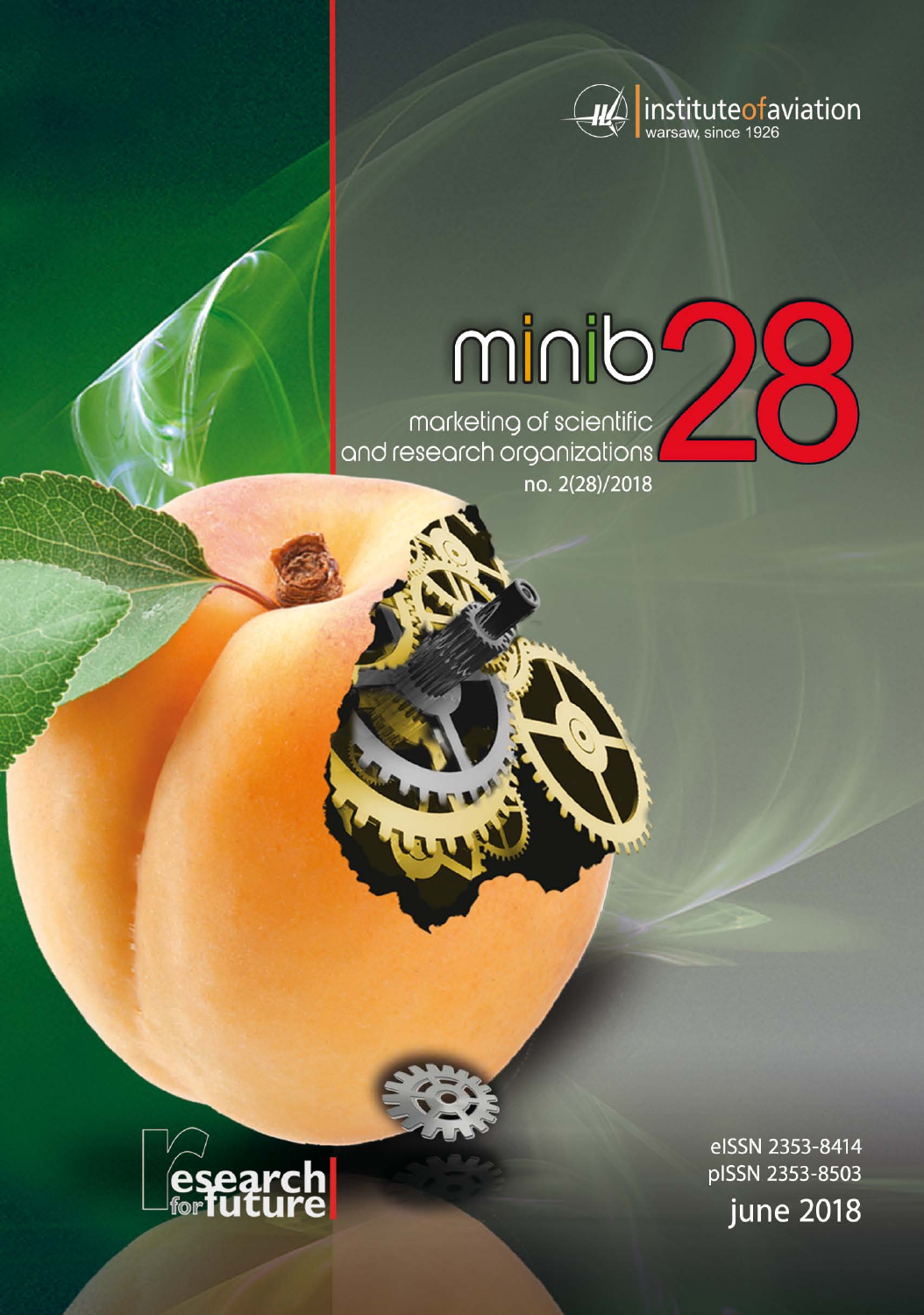

# minib

marketing of scientific<br>and research organizations no. 2(28)/2018



eISSN 2353-8414 pISSN 2353-8503 **june 2018**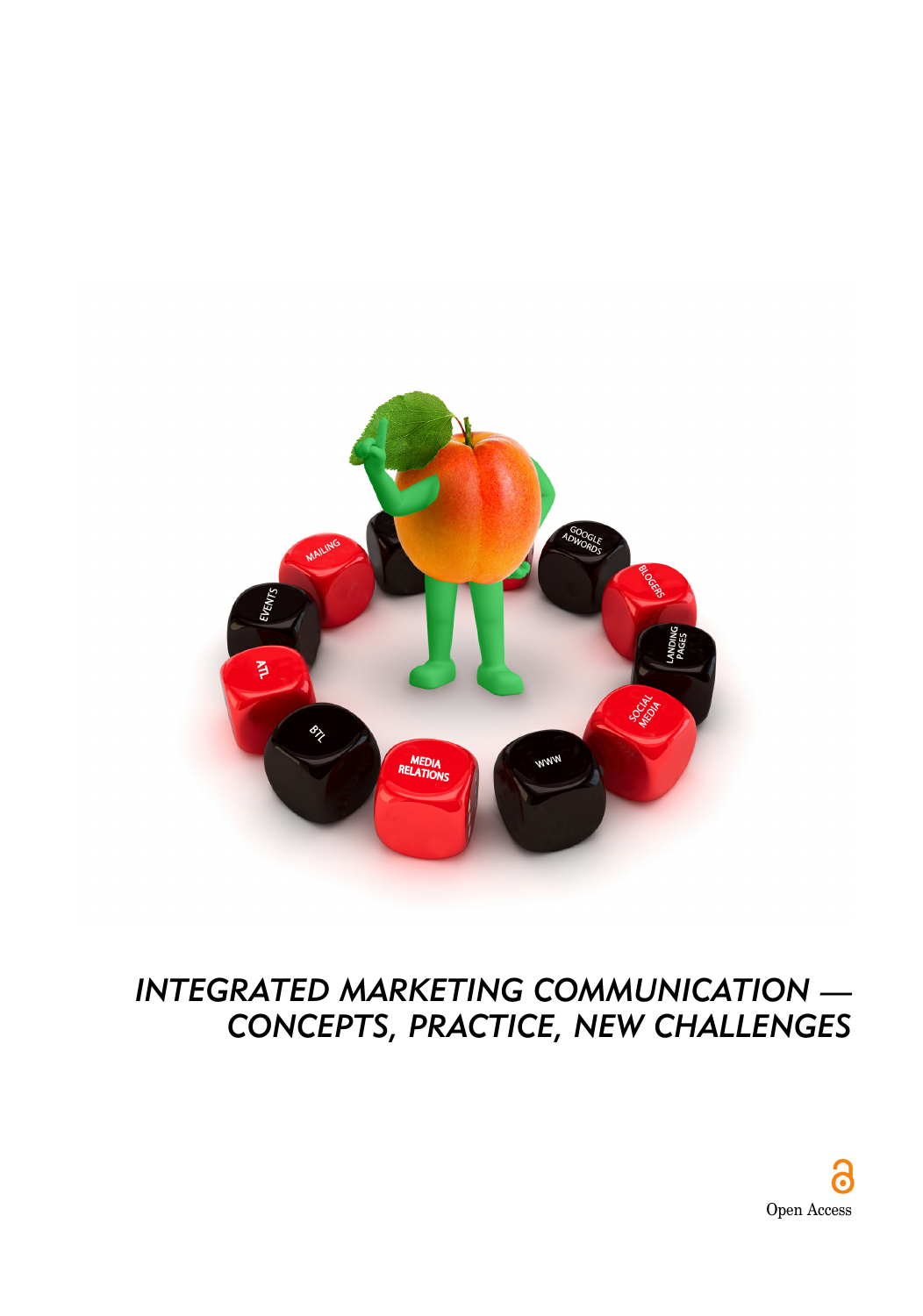

# *INTEGRATED MARKETING COMMUNICATION — CONCEPTS, PRACTICE, NEW CHALLENGES*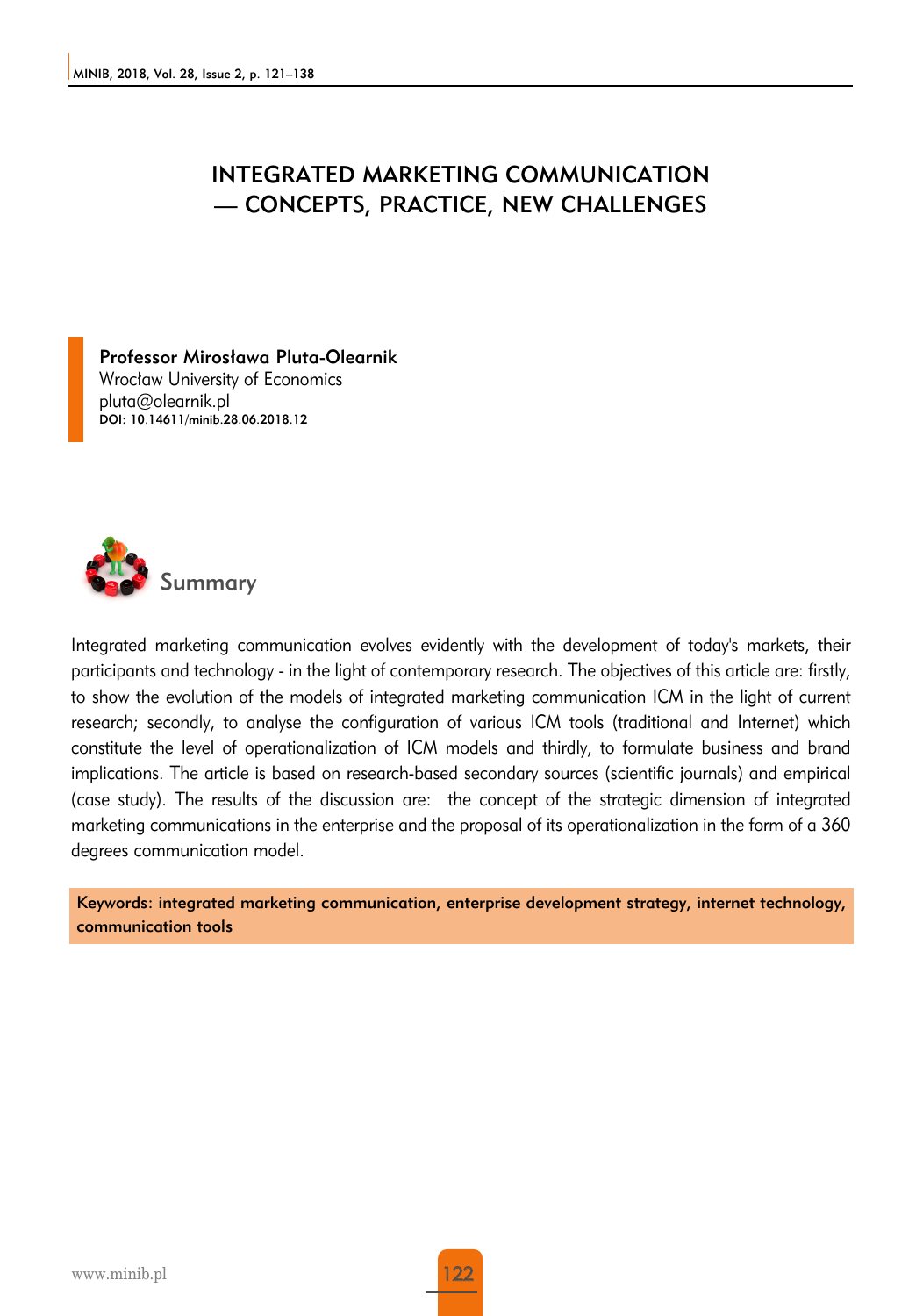#### INTEGRATED MARKETING COMMUNICATION — CONCEPTS, PRACTICE, NEW CHALLENGES

Professor Mirosława Pluta-Olearnik Wrocław University of Economics pluta@olearnik.pl DOI: 10.14611/minib.28.06.2018.12



Integrated marketing communication evolves evidently with the development of today's markets, their participants and technology - in the light of contemporary research. The objectives of this article are: firstly, to show the evolution of the models of integrated marketing communication ICM in the light of current research; secondly, to analyse the configuration of various ICM tools (traditional and Internet) which constitute the level of operationalization of ICM models and thirdly, to formulate business and brand implications. The article is based on research-based secondary sources (scientific journals) and empirical (case study). The results of the discussion are: the concept of the strategic dimension of integrated marketing communications in the enterprise and the proposal of its operationalization in the form of a 360 degrees communication model.

Keywords: integrated marketing communication, enterprise development strategy, internet technology, communication tools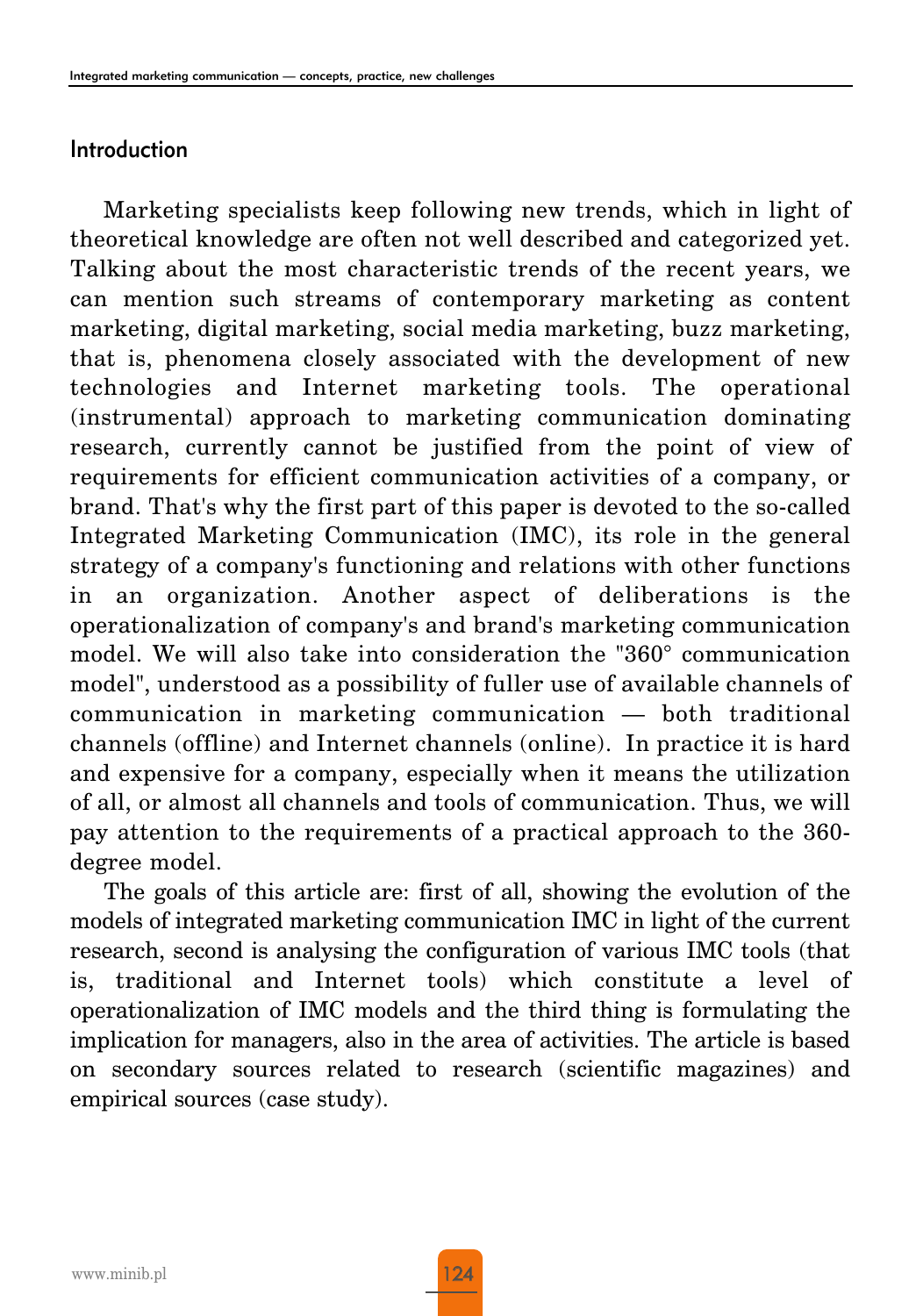#### Introduction

Marketing specialists keep following new trends, which in light of theoretical knowledge are often not well described and categorized yet. Talking about the most characteristic trends of the recent years, we can mention such streams of contemporary marketing as content marketing, digital marketing, social media marketing, buzz marketing, that is, phenomena closely associated with the development of new technologies and Internet marketing tools. The operational (instrumental) approach to marketing communication dominating research, currently cannot be justified from the point of view of requirements for efficient communication activities of a company, or brand. That's why the first part of this paper is devoted to the so-called Integrated Marketing Communication (IMC), its role in the general strategy of a company's functioning and relations with other functions in an organization. Another aspect of deliberations is the operationalization of company's and brand's marketing communication model. We will also take into consideration the "360° communication model", understood as a possibility of fuller use of available channels of communication in marketing communication — both traditional channels (offline) and Internet channels (online). In practice it is hard and expensive for a company, especially when it means the utilization of all, or almost all channels and tools of communication. Thus, we will pay attention to the requirements of a practical approach to the 360 degree model.

The goals of this article are: first of all, showing the evolution of the models of integrated marketing communication IMC in light of the current research, second is analysing the configuration of various IMC tools (that is, traditional and Internet tools) which constitute a level of operationalization of IMC models and the third thing is formulating the implication for managers, also in the area of activities. The article is based on secondary sources related to research (scientific magazines) and empirical sources (case study).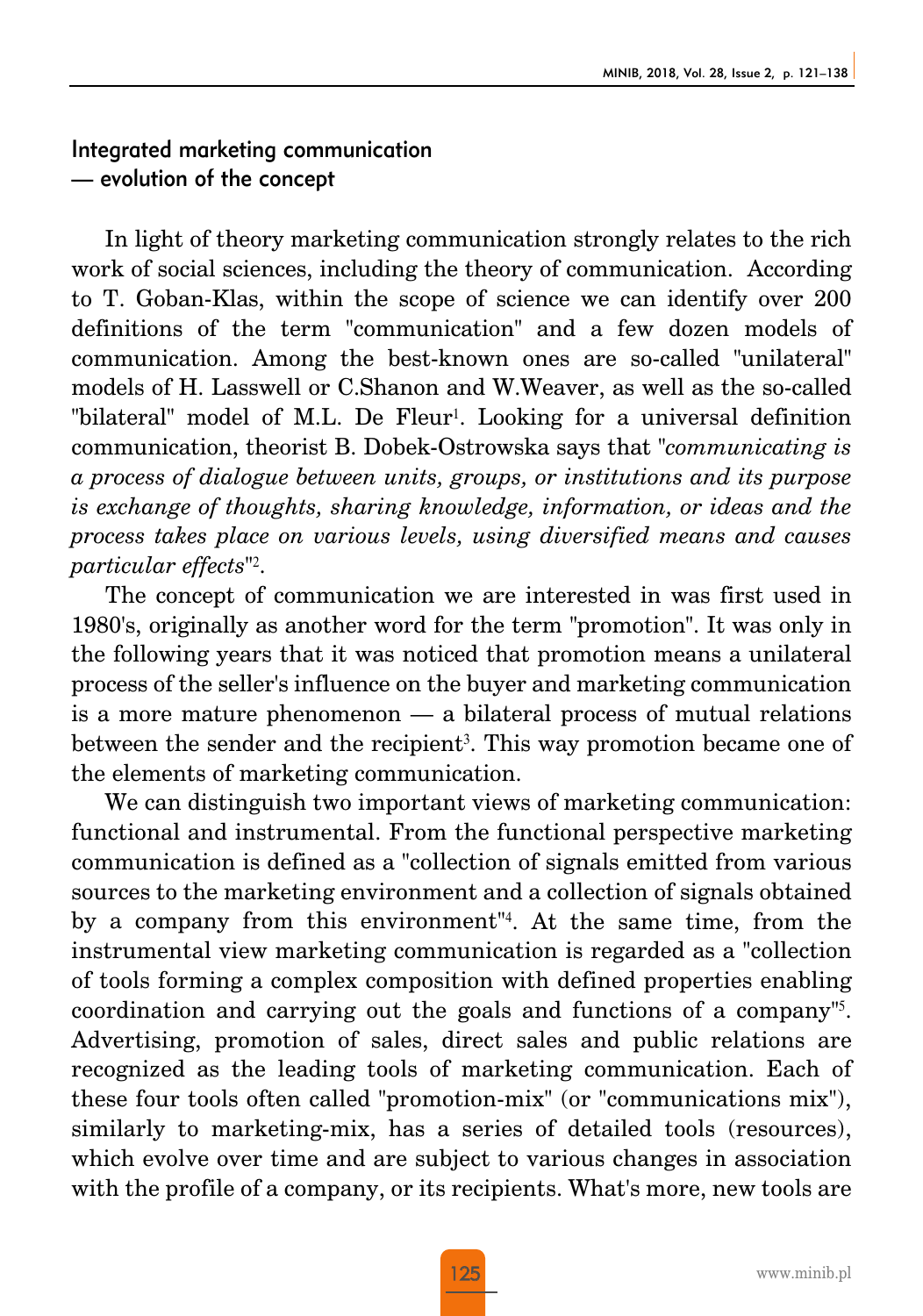#### Integrated marketing communication — evolution of the concept

In light of theory marketing communication strongly relates to the rich work of social sciences, including the theory of communication. According to T. Goban-Klas, within the scope of science we can identify over 200 definitions of the term "communication" and a few dozen models of communication. Among the best-known ones are so-called "unilateral" models of H. Lasswell or C.Shanon and W.Weaver, as well as the so-called "bilateral" model of M.L. De Fleur<sup>1</sup>. Looking for a universal definition communication, theorist B. Dobek-Ostrowska says that "*communicating is a process of dialogue between units, groups, or institutions and its purpose is exchange of thoughts, sharing knowledge, information, or ideas and the process takes place on various levels, using diversified means and causes particular effects*"2.

The concept of communication we are interested in was first used in 1980's, originally as another word for the term "promotion". It was only in the following years that it was noticed that promotion means a unilateral process of the seller's influence on the buyer and marketing communication is a more mature phenomenon — a bilateral process of mutual relations between the sender and the recipient<sup>3</sup>. This way promotion became one of the elements of marketing communication.

We can distinguish two important views of marketing communication: functional and instrumental. From the functional perspective marketing communication is defined as a "collection of signals emitted from various sources to the marketing environment and a collection of signals obtained by a company from this environment"4. At the same time, from the instrumental view marketing communication is regarded as a "collection of tools forming a complex composition with defined properties enabling coordination and carrying out the goals and functions of a company"5. Advertising, promotion of sales, direct sales and public relations are recognized as the leading tools of marketing communication. Each of these four tools often called "promotion-mix" (or "communications mix"), similarly to marketing-mix, has a series of detailed tools (resources), which evolve over time and are subject to various changes in association with the profile of a company, or its recipients. What's more, new tools are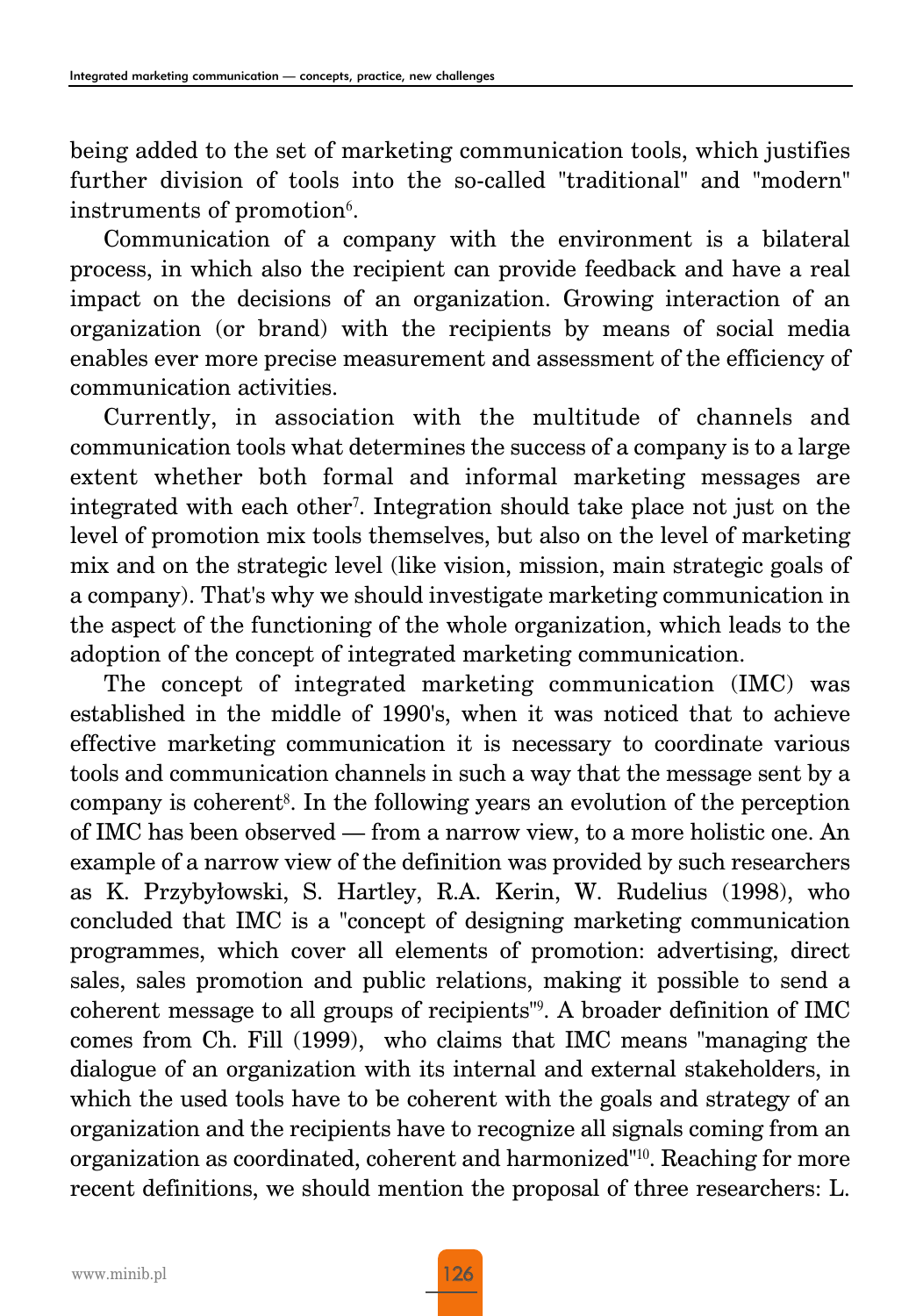being added to the set of marketing communication tools, which justifies further division of tools into the so-called "traditional" and "modern" instruments of promotion<sup>6</sup>.

Communication of a company with the environment is a bilateral process, in which also the recipient can provide feedback and have a real impact on the decisions of an organization. Growing interaction of an organization (or brand) with the recipients by means of social media enables ever more precise measurement and assessment of the efficiency of communication activities.

Currently, in association with the multitude of channels and communication tools what determines the success of a company is to a large extent whether both formal and informal marketing messages are integrated with each other7. Integration should take place not just on the level of promotion mix tools themselves, but also on the level of marketing mix and on the strategic level (like vision, mission, main strategic goals of a company). That's why we should investigate marketing communication in the aspect of the functioning of the whole organization, which leads to the adoption of the concept of integrated marketing communication.

The concept of integrated marketing communication (IMC) was established in the middle of 1990's, when it was noticed that to achieve effective marketing communication it is necessary to coordinate various tools and communication channels in such a way that the message sent by a company is coherent8. In the following years an evolution of the perception of IMC has been observed — from a narrow view, to a more holistic one. An example of a narrow view of the definition was provided by such researchers as K. Przybyłowski, S. Hartley, R.A. Kerin, W. Rudelius (1998), who concluded that IMC is a "concept of designing marketing communication programmes, which cover all elements of promotion: advertising, direct sales, sales promotion and public relations, making it possible to send a coherent message to all groups of recipients"9. A broader definition of IMC comes from Ch. Fill (1999), who claims that IMC means "managing the dialogue of an organization with its internal and external stakeholders, in which the used tools have to be coherent with the goals and strategy of an organization and the recipients have to recognize all signals coming from an organization as coordinated, coherent and harmonized"10. Reaching for more recent definitions, we should mention the proposal of three researchers: L.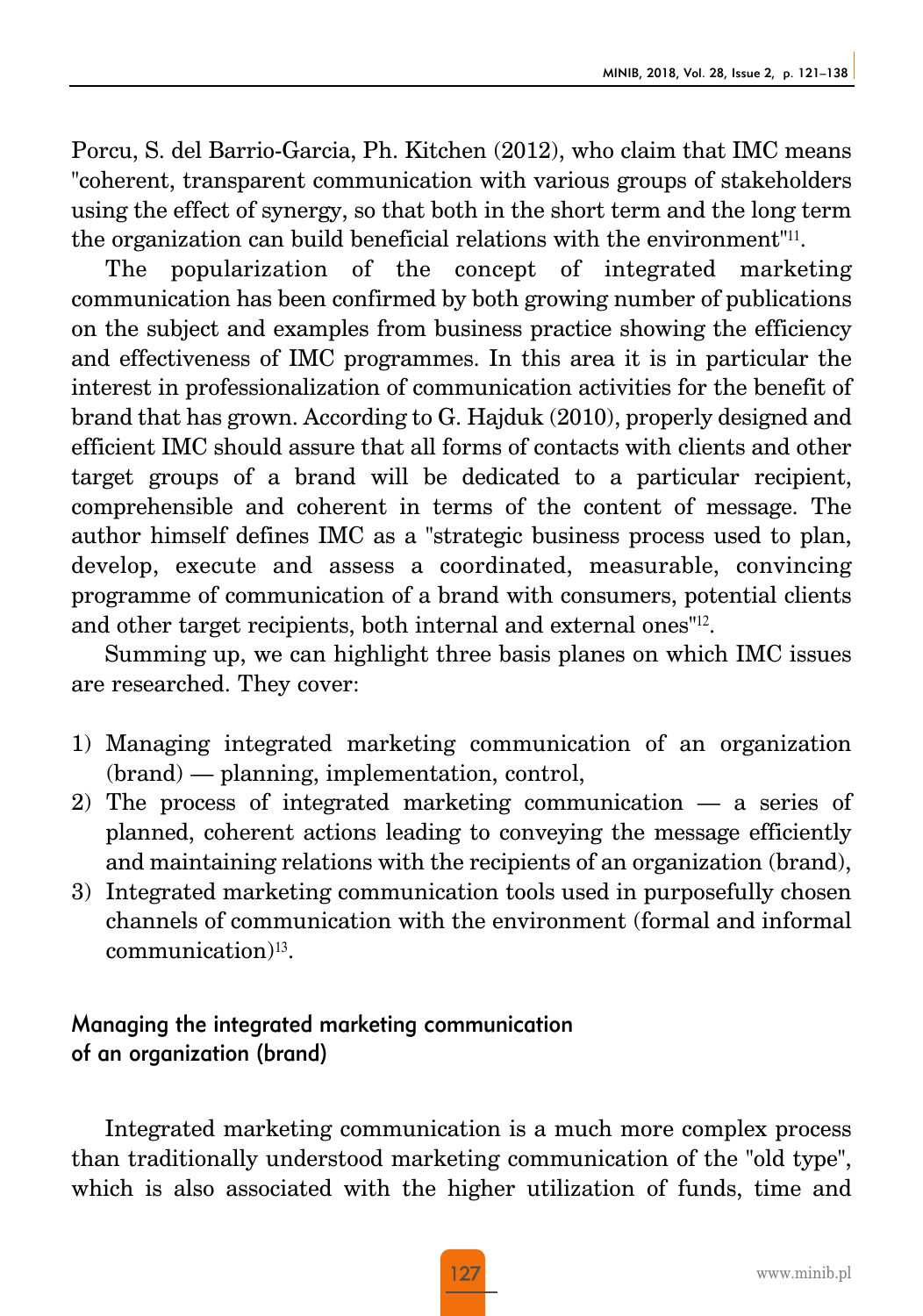Porcu, S. del Barrio-Garcia, Ph. Kitchen (2012), who claim that IMC means "coherent, transparent communication with various groups of stakeholders using the effect of synergy, so that both in the short term and the long term the organization can build beneficial relations with the environment"11.

The popularization of the concept of integrated marketing communication has been confirmed by both growing number of publications on the subject and examples from business practice showing the efficiency and effectiveness of IMC programmes. In this area it is in particular the interest in professionalization of communication activities for the benefit of brand that has grown. According to G. Hajduk (2010), properly designed and efficient IMC should assure that all forms of contacts with clients and other target groups of a brand will be dedicated to a particular recipient, comprehensible and coherent in terms of the content of message. The author himself defines IMC as a "strategic business process used to plan, develop, execute and assess a coordinated, measurable, convincing programme of communication of a brand with consumers, potential clients and other target recipients, both internal and external ones"12.

Summing up, we can highlight three basis planes on which IMC issues are researched. They cover:

- 1) Managing integrated marketing communication of an organization (brand) — planning, implementation, control,
- 2) The process of integrated marketing communication a series of planned, coherent actions leading to conveying the message efficiently and maintaining relations with the recipients of an organization (brand),
- 3) Integrated marketing communication tools used in purposefully chosen channels of communication with the environment (formal and informal communication)13.

### Managing the integrated marketing communication of an organization (brand)

Integrated marketing communication is a much more complex process than traditionally understood marketing communication of the "old type", which is also associated with the higher utilization of funds, time and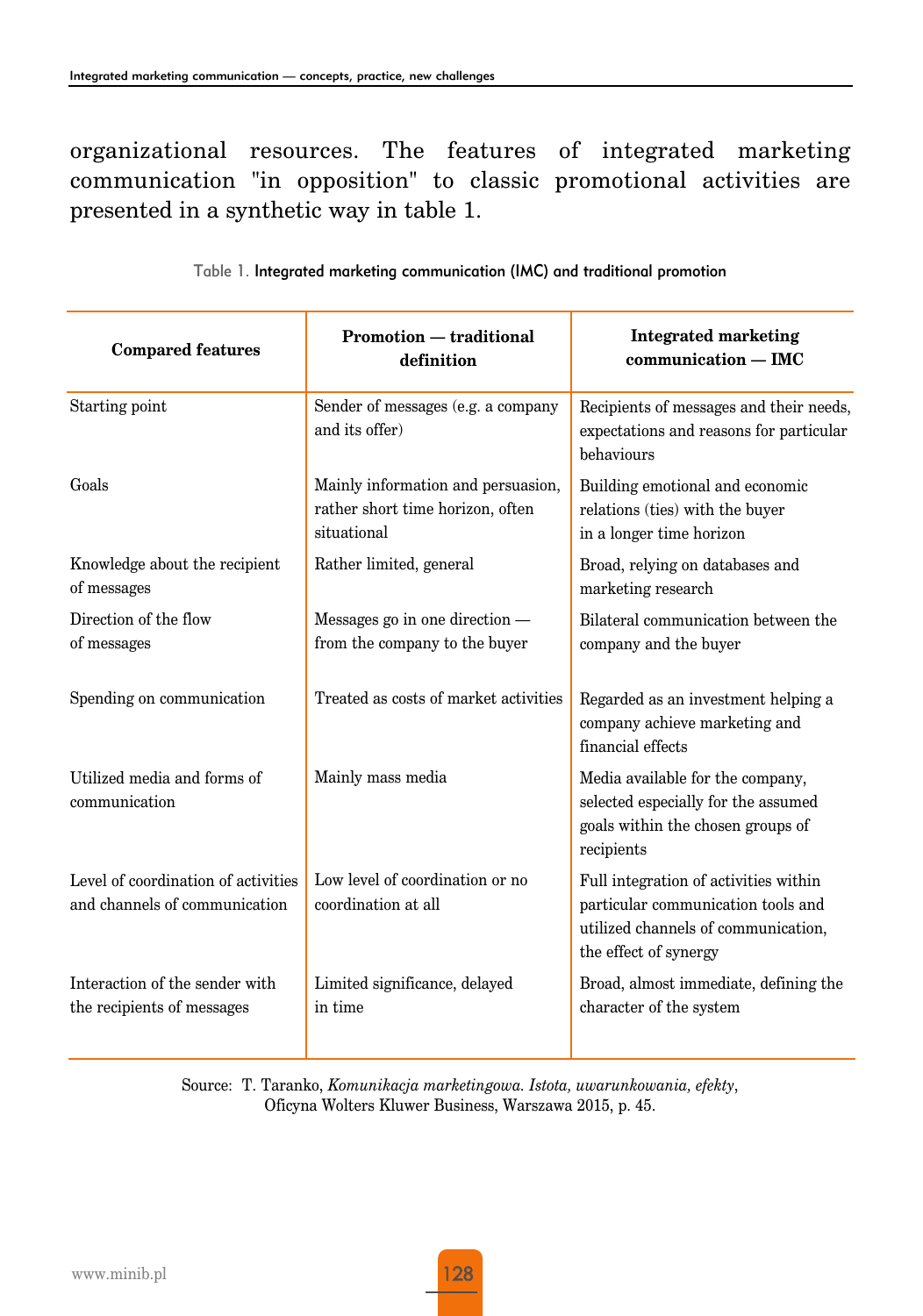organizational resources. The features of integrated marketing communication "in opposition" to classic promotional activities are presented in a synthetic way in table 1.

| <b>Compared features</b>                                             | Promotion — traditional<br>definition                                                 | <b>Integrated marketing</b><br>$communication - IMC$                                                                                        |
|----------------------------------------------------------------------|---------------------------------------------------------------------------------------|---------------------------------------------------------------------------------------------------------------------------------------------|
| Starting point                                                       | Sender of messages (e.g. a company<br>and its offer)                                  | Recipients of messages and their needs,<br>expectations and reasons for particular<br>behaviours                                            |
| Goals                                                                | Mainly information and persuasion,<br>rather short time horizon, often<br>situational | Building emotional and economic<br>relations (ties) with the buyer<br>in a longer time horizon                                              |
| Knowledge about the recipient<br>of messages                         | Rather limited, general                                                               | Broad, relying on databases and<br>marketing research                                                                                       |
| Direction of the flow<br>of messages                                 | Messages go in one direction —<br>from the company to the buyer                       | Bilateral communication between the<br>company and the buyer                                                                                |
| Spending on communication                                            | Treated as costs of market activities                                                 | Regarded as an investment helping a<br>company achieve marketing and<br>financial effects                                                   |
| Utilized media and forms of<br>communication                         | Mainly mass media                                                                     | Media available for the company,<br>selected especially for the assumed<br>goals within the chosen groups of<br>recipients                  |
| Level of coordination of activities<br>and channels of communication | Low level of coordination or no<br>coordination at all                                | Full integration of activities within<br>particular communication tools and<br>utilized channels of communication,<br>the effect of synergy |
| Interaction of the sender with<br>the recipients of messages         | Limited significance, delayed<br>in time                                              | Broad, almost immediate, defining the<br>character of the system                                                                            |

Table 1. Integrated marketing communication (IMC) and traditional promotion

Source: T. Taranko, *Komunikacja marketingowa. Istota, uwarunkowania, efekty*, Oficyna Wolters Kluwer Business, Warszawa 2015, p. 45.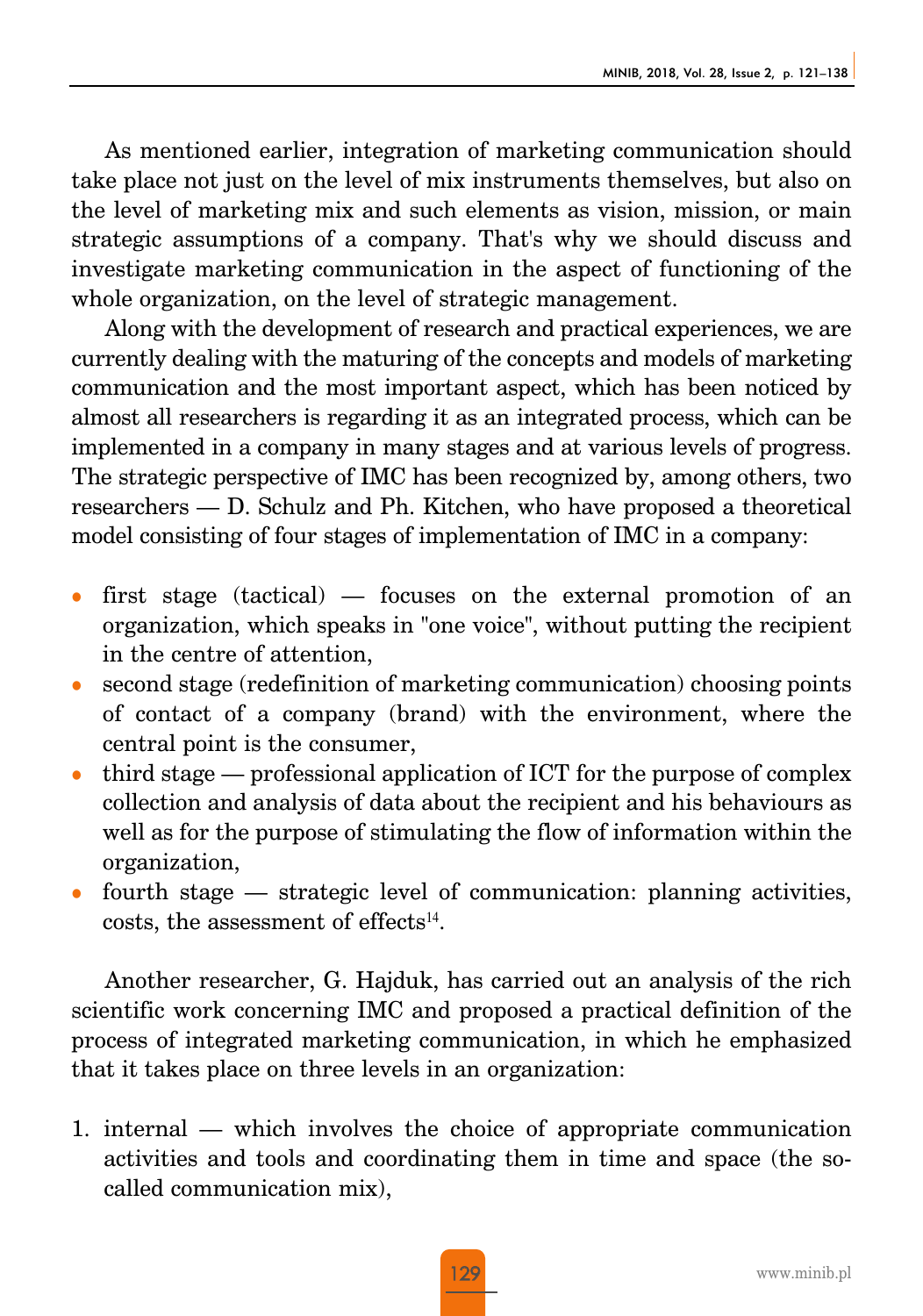As mentioned earlier, integration of marketing communication should take place not just on the level of mix instruments themselves, but also on the level of marketing mix and such elements as vision, mission, or main strategic assumptions of a company. That's why we should discuss and investigate marketing communication in the aspect of functioning of the whole organization, on the level of strategic management.

Along with the development of research and practical experiences, we are currently dealing with the maturing of the concepts and models of marketing communication and the most important aspect, which has been noticed by almost all researchers is regarding it as an integrated process, which can be implemented in a company in many stages and at various levels of progress. The strategic perspective of IMC has been recognized by, among others, two researchers — D. Schulz and Ph. Kitchen, who have proposed a theoretical model consisting of four stages of implementation of IMC in a company:

- first stage (tactical)  $-$  focuses on the external promotion of an organization, which speaks in "one voice", without putting the recipient in the centre of attention,
- second stage (redefinition of marketing communication) choosing points of contact of a company (brand) with the environment, where the central point is the consumer,
- <sup>z</sup> third stage professional application of ICT for the purpose of complex collection and analysis of data about the recipient and his behaviours as well as for the purpose of stimulating the flow of information within the organization,
- fourth stage strategic level of communication: planning activities, costs, the assessment of effects<sup>14</sup>.

Another researcher, G. Hajduk, has carried out an analysis of the rich scientific work concerning IMC and proposed a practical definition of the process of integrated marketing communication, in which he emphasized that it takes place on three levels in an organization:

1. internal — which involves the choice of appropriate communication activities and tools and coordinating them in time and space (the socalled communication mix),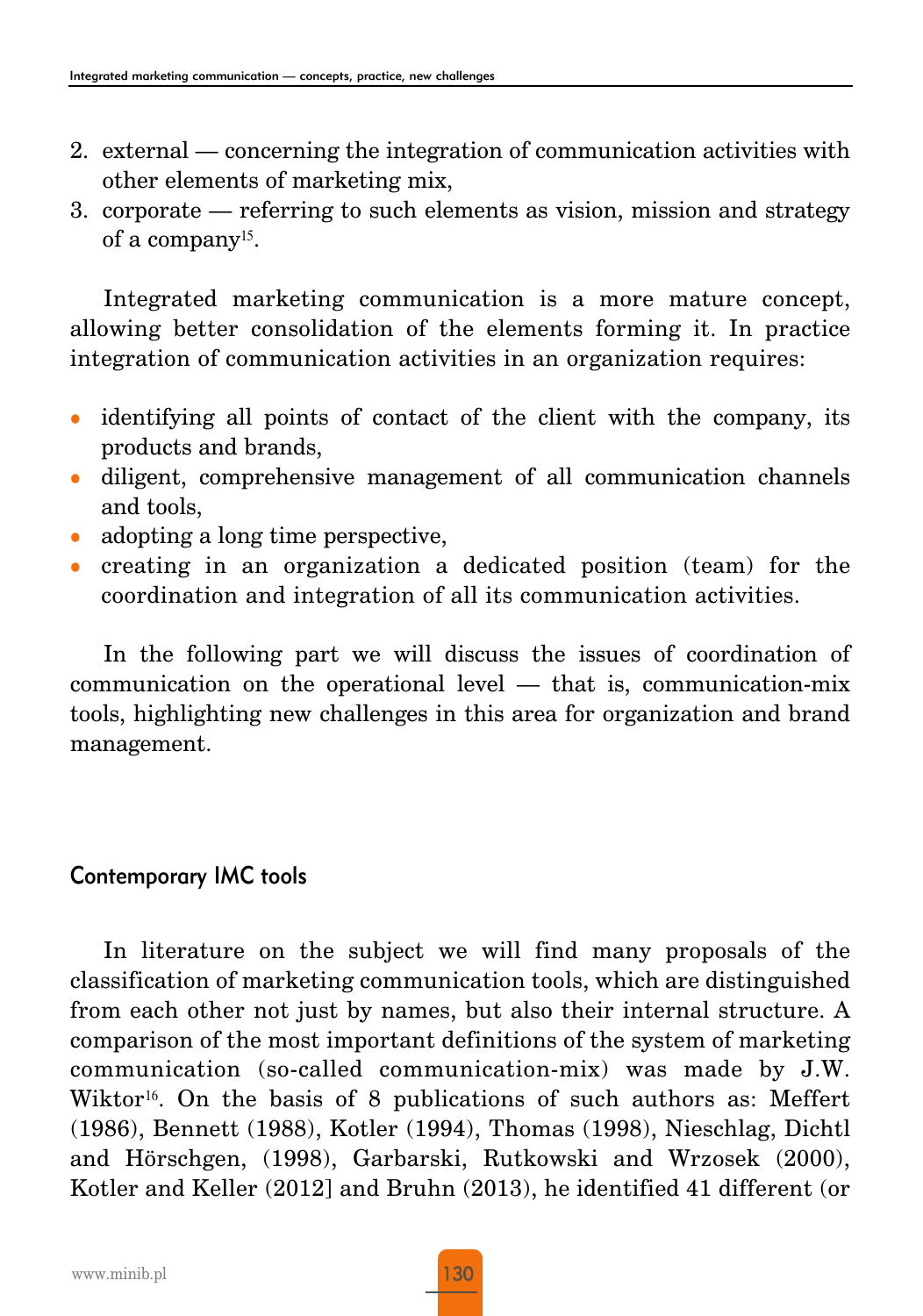- 2. external concerning the integration of communication activities with other elements of marketing mix,
- 3. corporate referring to such elements as vision, mission and strategy of a company15.

Integrated marketing communication is a more mature concept, allowing better consolidation of the elements forming it. In practice integration of communication activities in an organization requires:

- identifying all points of contact of the client with the company, its products and brands,
- diligent, comprehensive management of all communication channels and tools,
- $\bullet$  adopting a long time perspective,
- creating in an organization a dedicated position (team) for the coordination and integration of all its communication activities.

In the following part we will discuss the issues of coordination of communication on the operational level — that is, communication-mix tools, highlighting new challenges in this area for organization and brand management.

## Contemporary IMC tools

In literature on the subject we will find many proposals of the classification of marketing communication tools, which are distinguished from each other not just by names, but also their internal structure. A comparison of the most important definitions of the system of marketing communication (so-called communication-mix) was made by J.W. Wiktor<sup>16</sup>. On the basis of 8 publications of such authors as: Meffert (1986), Bennett (1988), Kotler (1994), Thomas (1998), Nieschlag, Dichtl and Hörschgen, (1998), Garbarski, Rutkowski and Wrzosek (2000), Kotler and Keller (2012] and Bruhn (2013), he identified 41 different (or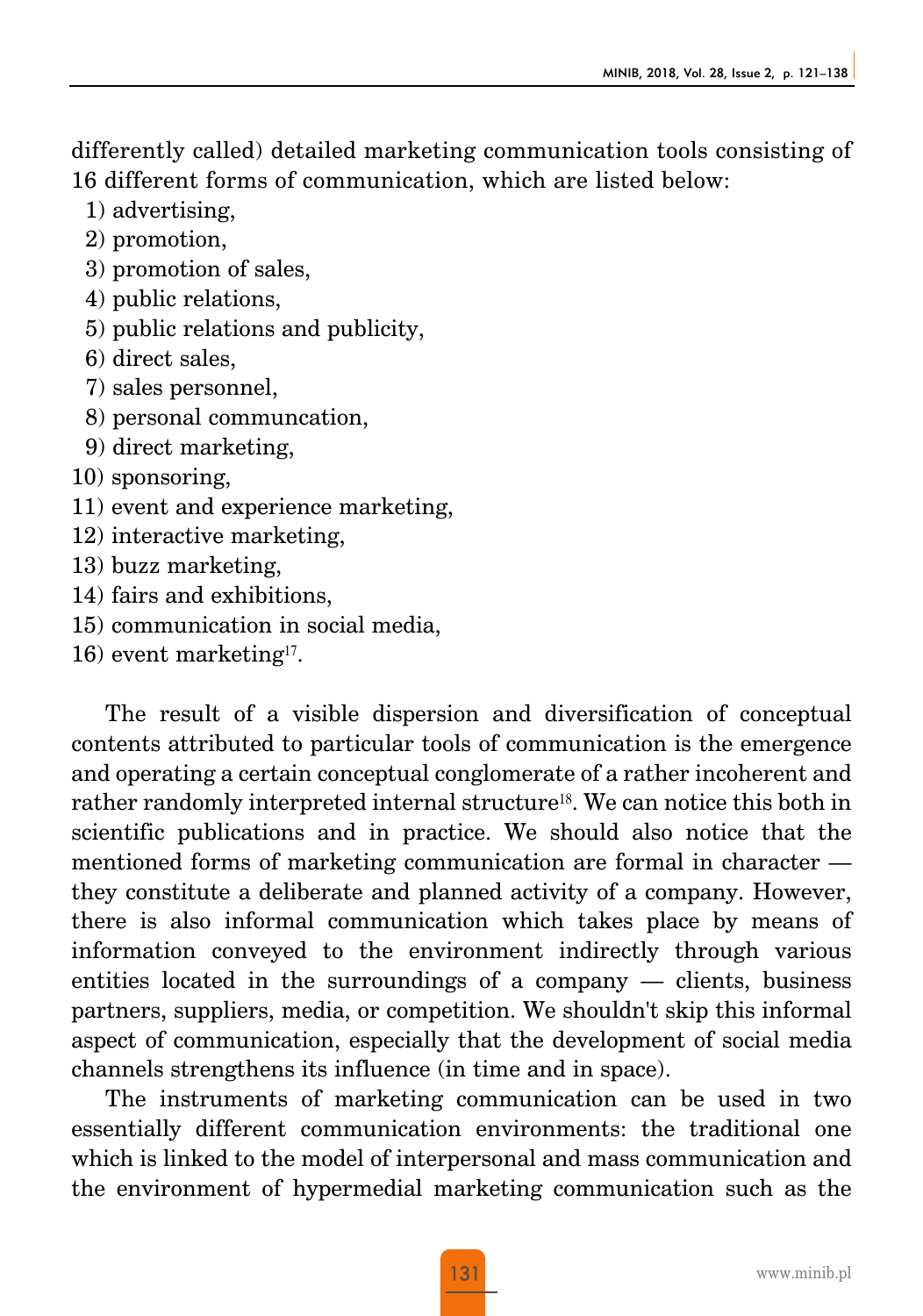differently called) detailed marketing communication tools consisting of 16 different forms of communication, which are listed below:

- 1) advertising,
- 2) promotion,
- 3) promotion of sales,
- 4) public relations,
- 5) public relations and publicity,
- 6) direct sales,
- 7) sales personnel,
- 8) personal communcation,
- 9) direct marketing,
- 10) sponsoring,
- 11) event and experience marketing,
- 12) interactive marketing,
- 13) buzz marketing,
- 14) fairs and exhibitions,
- 15) communication in social media,
- 16) event marketing17.

The result of a visible dispersion and diversification of conceptual contents attributed to particular tools of communication is the emergence and operating a certain conceptual conglomerate of a rather incoherent and rather randomly interpreted internal structure<sup>18</sup>. We can notice this both in scientific publications and in practice. We should also notice that the mentioned forms of marketing communication are formal in character they constitute a deliberate and planned activity of a company. However, there is also informal communication which takes place by means of information conveyed to the environment indirectly through various entities located in the surroundings of a company — clients, business partners, suppliers, media, or competition. We shouldn't skip this informal aspect of communication, especially that the development of social media channels strengthens its influence (in time and in space).

The instruments of marketing communication can be used in two essentially different communication environments: the traditional one which is linked to the model of interpersonal and mass communication and the environment of hypermedial marketing communication such as the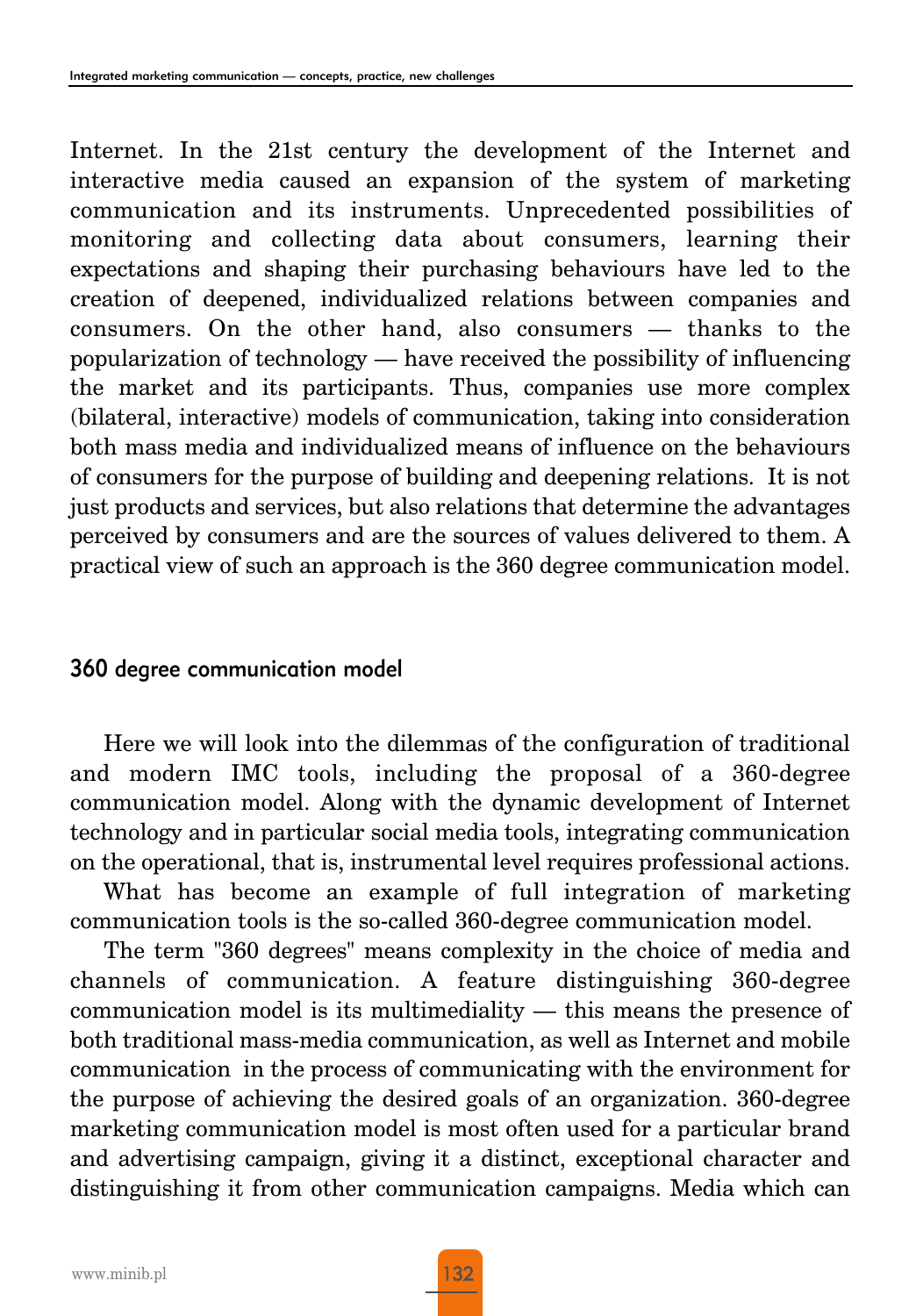Internet. In the 21st century the development of the Internet and interactive media caused an expansion of the system of marketing communication and its instruments. Unprecedented possibilities of monitoring and collecting data about consumers, learning their expectations and shaping their purchasing behaviours have led to the creation of deepened, individualized relations between companies and consumers. On the other hand, also consumers — thanks to the popularization of technology — have received the possibility of influencing the market and its participants. Thus, companies use more complex (bilateral, interactive) models of communication, taking into consideration both mass media and individualized means of influence on the behaviours of consumers for the purpose of building and deepening relations. It is not just products and services, but also relations that determine the advantages perceived by consumers and are the sources of values delivered to them. A practical view of such an approach is the 360 degree communication model.

#### 360 degree communication model

Here we will look into the dilemmas of the configuration of traditional and modern IMC tools, including the proposal of a 360-degree communication model. Along with the dynamic development of Internet technology and in particular social media tools, integrating communication on the operational, that is, instrumental level requires professional actions.

What has become an example of full integration of marketing communication tools is the so-called 360-degree communication model.

The term "360 degrees" means complexity in the choice of media and channels of communication. A feature distinguishing 360-degree communication model is its multimediality — this means the presence of both traditional mass-media communication, as well as Internet and mobile communication in the process of communicating with the environment for the purpose of achieving the desired goals of an organization. 360-degree marketing communication model is most often used for a particular brand and advertising campaign, giving it a distinct, exceptional character and distinguishing it from other communication campaigns. Media which can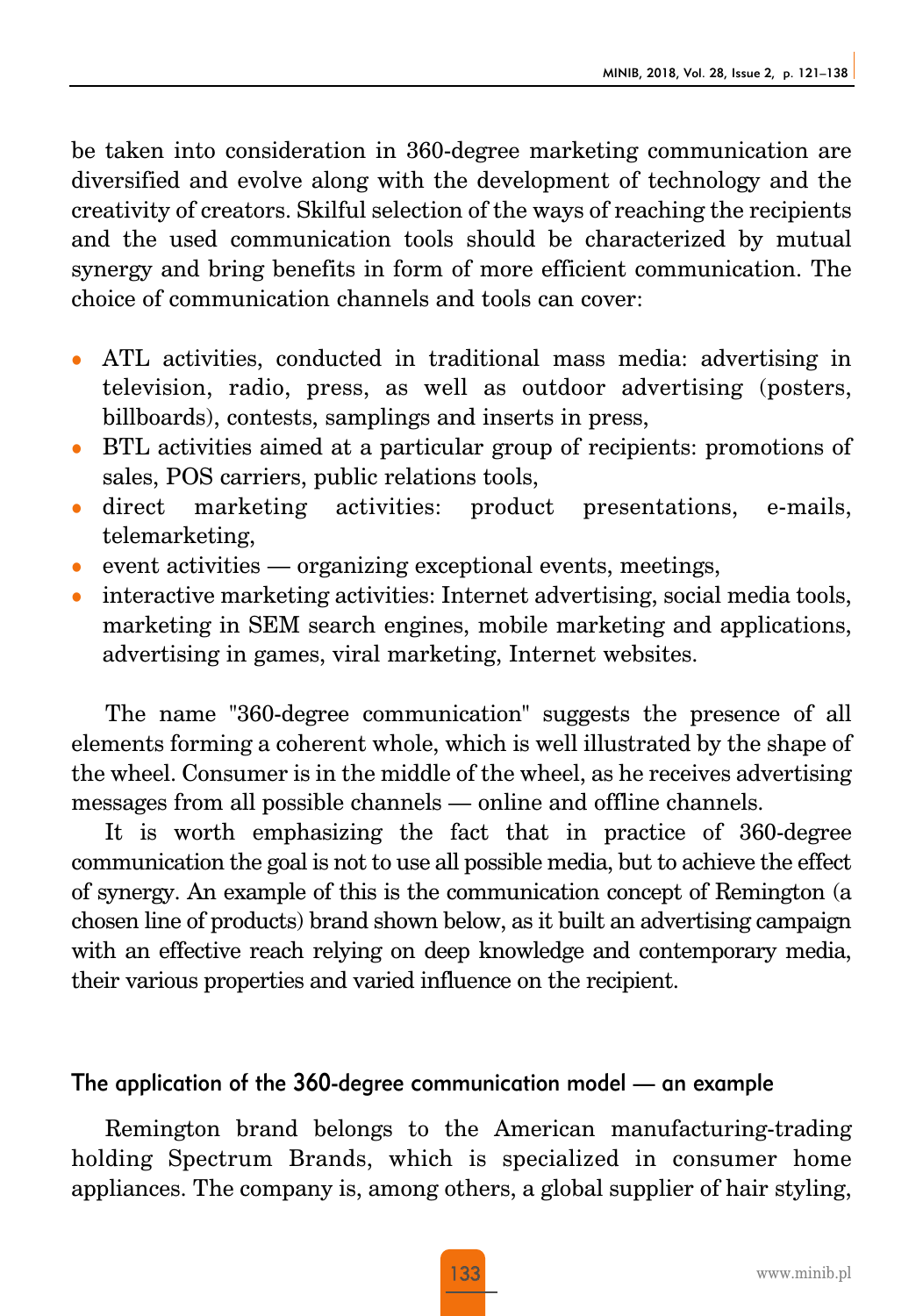be taken into consideration in 360-degree marketing communication are diversified and evolve along with the development of technology and the creativity of creators. Skilful selection of the ways of reaching the recipients and the used communication tools should be characterized by mutual synergy and bring benefits in form of more efficient communication. The choice of communication channels and tools can cover:

- <sup>z</sup> ATL activities, conducted in traditional mass media: advertising in television, radio, press, as well as outdoor advertising (posters, billboards), contests, samplings and inserts in press,
- <sup>z</sup> BTL activities aimed at a particular group of recipients: promotions of sales, POS carriers, public relations tools,
- direct marketing activities: product presentations, e-mails, telemarketing,
- event activities organizing exceptional events, meetings,
- interactive marketing activities: Internet advertising, social media tools, marketing in SEM search engines, mobile marketing and applications, advertising in games, viral marketing, Internet websites.

The name "360-degree communication" suggests the presence of all elements forming a coherent whole, which is well illustrated by the shape of the wheel. Consumer is in the middle of the wheel, as he receives advertising messages from all possible channels — online and offline channels.

It is worth emphasizing the fact that in practice of 360-degree communication the goal is not to use all possible media, but to achieve the effect of synergy. An example of this is the communication concept of Remington (a chosen line of products) brand shown below, as it built an advertising campaign with an effective reach relying on deep knowledge and contemporary media, their various properties and varied influence on the recipient.

#### The application of the 360-degree communication model — an example

Remington brand belongs to the American manufacturing-trading holding Spectrum Brands, which is specialized in consumer home appliances. The company is, among others, a global supplier of hair styling,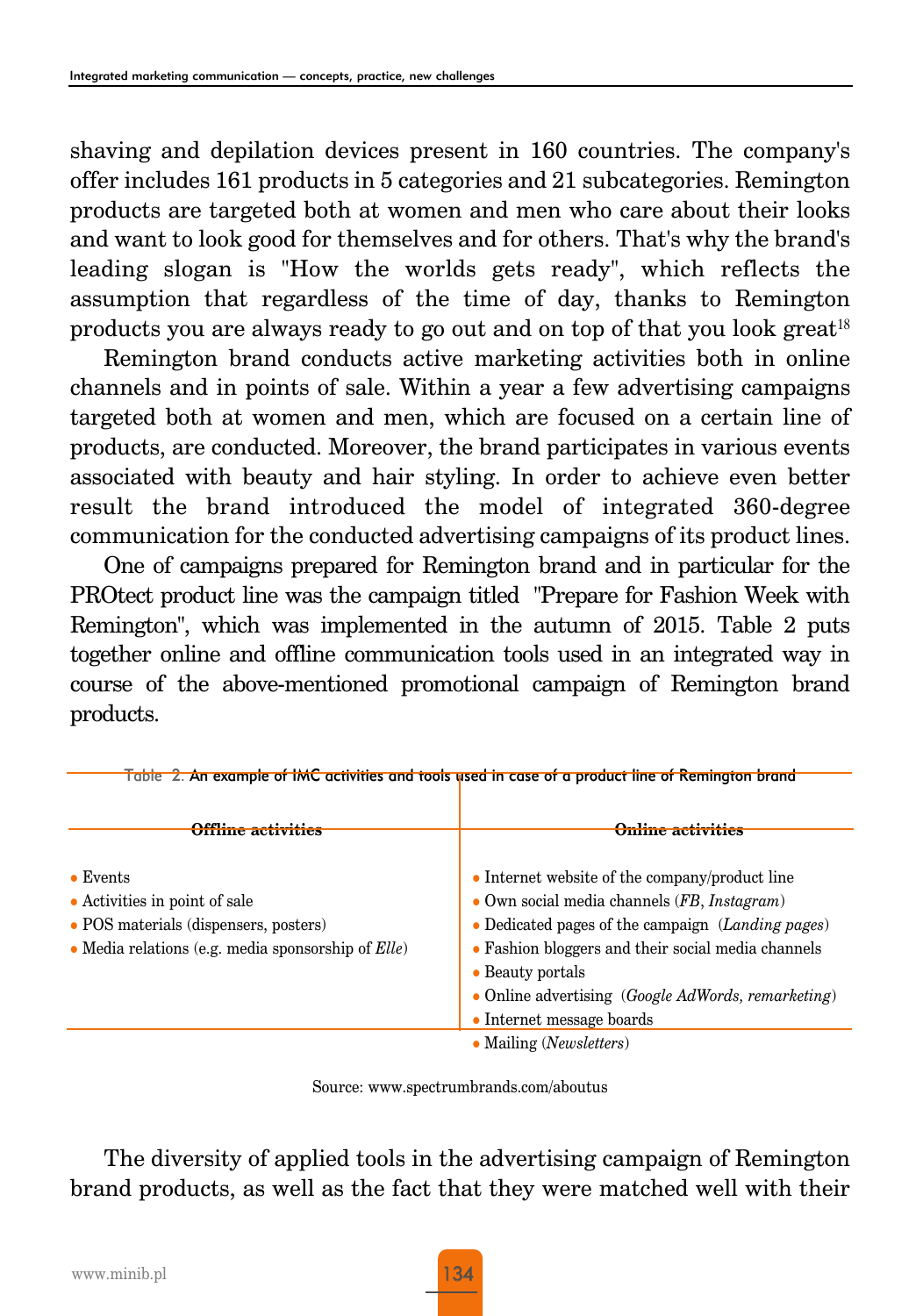shaving and depilation devices present in 160 countries. The company's offer includes 161 products in 5 categories and 21 subcategories. Remington products are targeted both at women and men who care about their looks and want to look good for themselves and for others. That's why the brand's leading slogan is "How the worlds gets ready", which reflects the assumption that regardless of the time of day, thanks to Remington products you are always ready to go out and on top of that you look great<sup>18</sup>

Remington brand conducts active marketing activities both in online channels and in points of sale. Within a year a few advertising campaigns targeted both at women and men, which are focused on a certain line of products, are conducted. Moreover, the brand participates in various events associated with beauty and hair styling. In order to achieve even better result the brand introduced the model of integrated 360-degree communication for the conducted advertising campaigns of its product lines.

One of campaigns prepared for Remington brand and in particular for the PROtect product line was the campaign titled "Prepare for Fashion Week with Remington", which was implemented in the autumn of 2015. Table 2 puts together online and offline communication tools used in an integrated way in course of the above-mentioned promotional campaign of Remington brand products.

|                                                                                                                                                     | Table  2. An example of IMC activities and tools used in case of a product line of Remington brand                                                                                                                                                                                                                   |
|-----------------------------------------------------------------------------------------------------------------------------------------------------|----------------------------------------------------------------------------------------------------------------------------------------------------------------------------------------------------------------------------------------------------------------------------------------------------------------------|
| <b>Offline activities</b>                                                                                                                           | <b>Online activities</b>                                                                                                                                                                                                                                                                                             |
| $\bullet$ Events<br>• Activities in point of sale<br>• POS materials (dispensers, posters)<br>• Media relations (e.g. media sponsorship of $Elle$ ) | • Internet website of the company/product line<br>• Own social media channels $(FB, Instant)$<br>• Dedicated pages of the campaign $(Landing$ pages)<br>• Fashion bloggers and their social media channels<br>• Beauty portals<br>• Online advertising $(Google AdWords, remaindering)$<br>• Internet message boards |
|                                                                                                                                                     | • Mailing ( <i>Newsletters</i> )                                                                                                                                                                                                                                                                                     |

Source: www.spectrumbrands.com/aboutus

The diversity of applied tools in the advertising campaign of Remington brand products, as well as the fact that they were matched well with their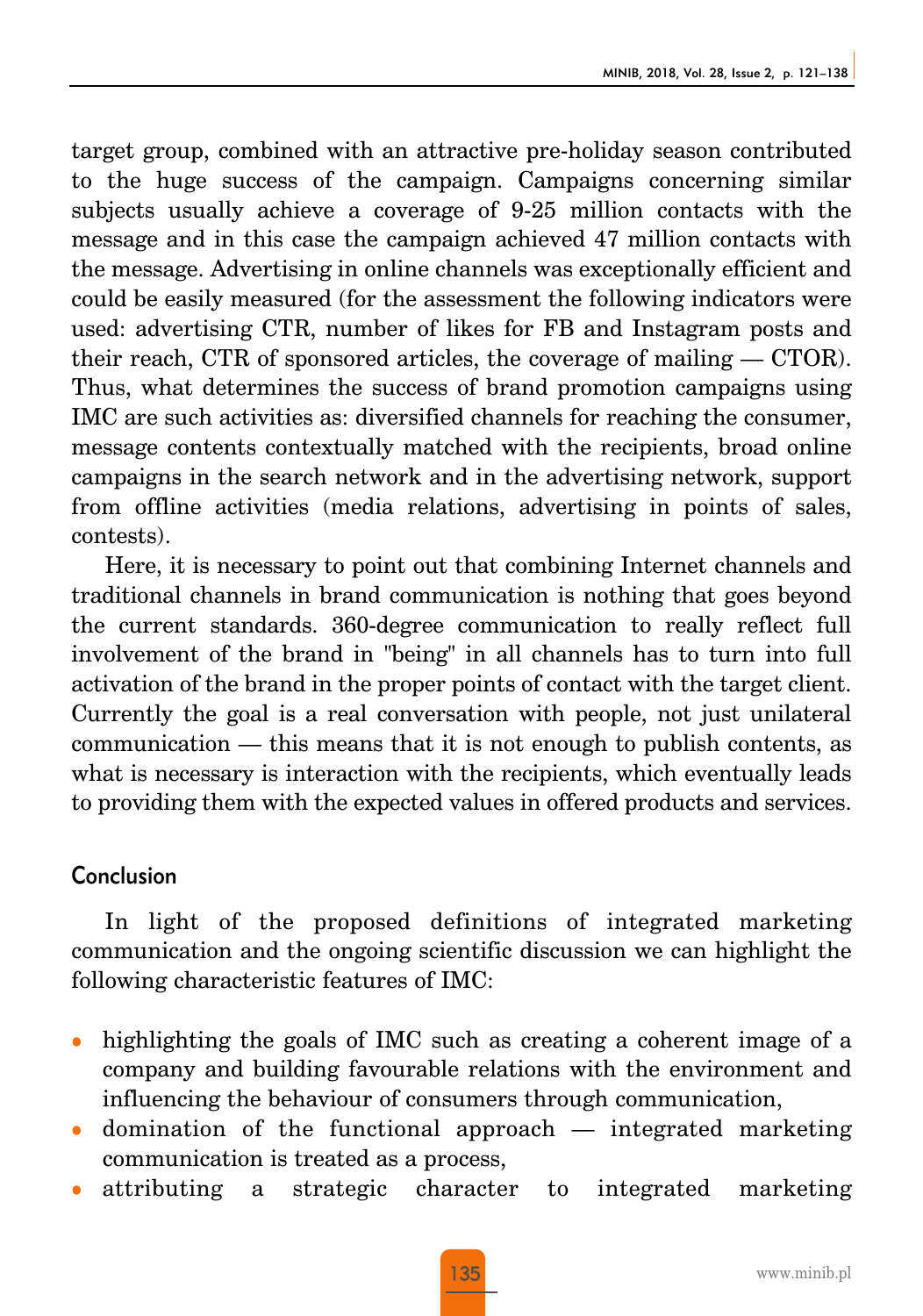target group, combined with an attractive pre-holiday season contributed to the huge success of the campaign. Campaigns concerning similar subjects usually achieve a coverage of 9-25 million contacts with the message and in this case the campaign achieved 47 million contacts with the message. Advertising in online channels was exceptionally efficient and could be easily measured (for the assessment the following indicators were used: advertising CTR, number of likes for FB and Instagram posts and their reach, CTR of sponsored articles, the coverage of mailing  $-$  CTOR). Thus, what determines the success of brand promotion campaigns using IMC are such activities as: diversified channels for reaching the consumer, message contents contextually matched with the recipients, broad online campaigns in the search network and in the advertising network, support from offline activities (media relations, advertising in points of sales, contests).

Here, it is necessary to point out that combining Internet channels and traditional channels in brand communication is nothing that goes beyond the current standards. 360-degree communication to really reflect full involvement of the brand in "being" in all channels has to turn into full activation of the brand in the proper points of contact with the target client. Currently the goal is a real conversation with people, not just unilateral communication — this means that it is not enough to publish contents, as what is necessary is interaction with the recipients, which eventually leads to providing them with the expected values in offered products and services.

#### Conclusion

In light of the proposed definitions of integrated marketing communication and the ongoing scientific discussion we can highlight the following characteristic features of IMC:

- highlighting the goals of IMC such as creating a coherent image of a company and building favourable relations with the environment and influencing the behaviour of consumers through communication,
- domination of the functional approach  $-$  integrated marketing communication is treated as a process,
- <sup>z</sup> attributing a strategic character to integrated marketing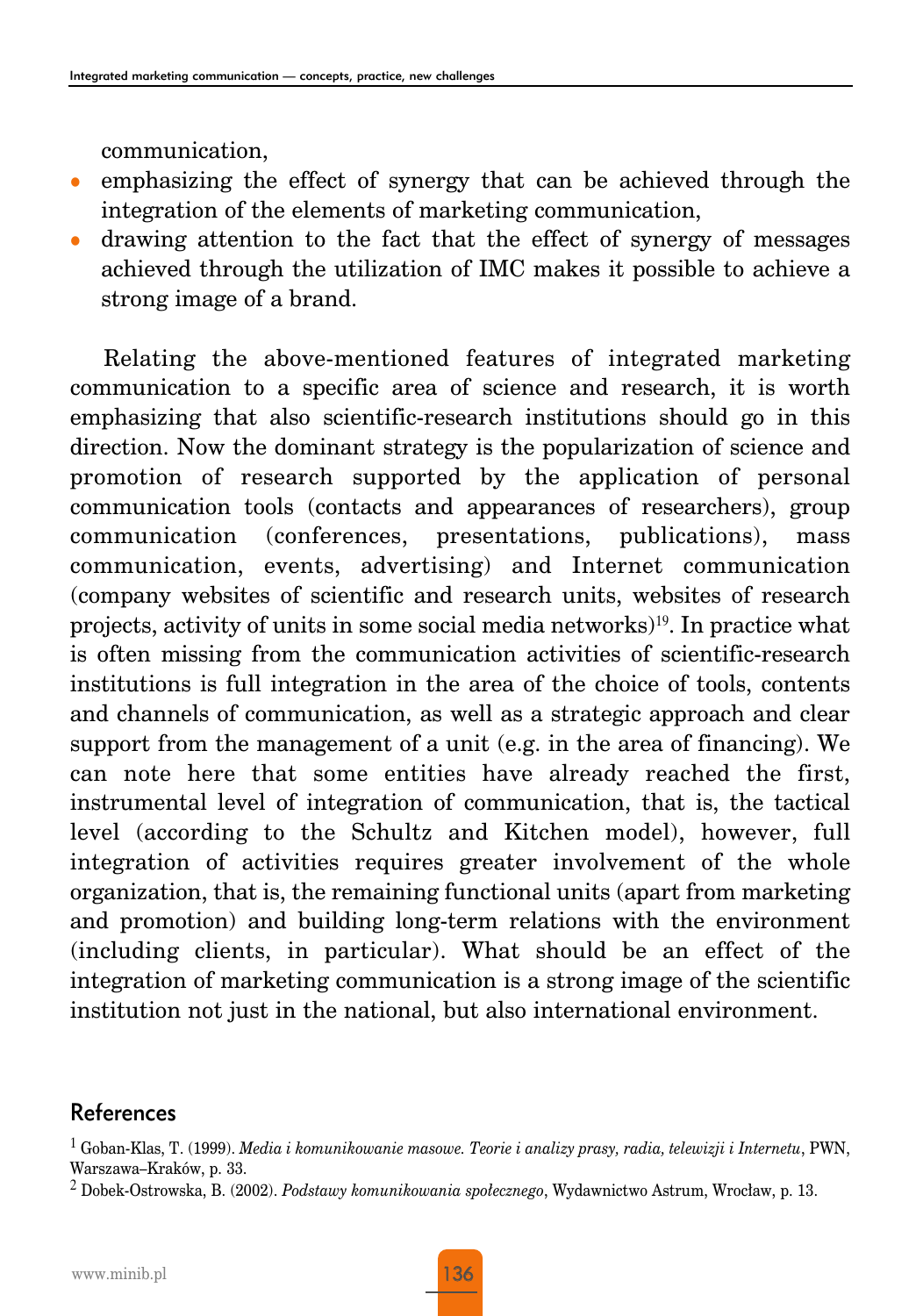communication,

- emphasizing the effect of synergy that can be achieved through the integration of the elements of marketing communication,
- drawing attention to the fact that the effect of synergy of messages achieved through the utilization of IMC makes it possible to achieve a strong image of a brand.

Relating the above-mentioned features of integrated marketing communication to a specific area of science and research, it is worth emphasizing that also scientific-research institutions should go in this direction. Now the dominant strategy is the popularization of science and promotion of research supported by the application of personal communication tools (contacts and appearances of researchers), group communication (conferences, presentations, publications), mass communication, events, advertising) and Internet communication (company websites of scientific and research units, websites of research projects, activity of units in some social media networks)19. In practice what is often missing from the communication activities of scientific-research institutions is full integration in the area of the choice of tools, contents and channels of communication, as well as a strategic approach and clear support from the management of a unit (e.g. in the area of financing). We can note here that some entities have already reached the first, instrumental level of integration of communication, that is, the tactical level (according to the Schultz and Kitchen model), however, full integration of activities requires greater involvement of the whole organization, that is, the remaining functional units (apart from marketing and promotion) and building long-term relations with the environment (including clients, in particular). What should be an effect of the integration of marketing communication is a strong image of the scientific institution not just in the national, but also international environment.

#### References

 $^1$  Goban-Klas, T. (1999). *Media i komunikowanie masowe. Teorie i analizy prasy, radia, telewizji i Internetu,* PWN, Warszawa–Kraków, p. 33.

<sup>2</sup> Dobek-Ostrowska, B. (2002). *Podstawy komunikowania społecznego*, Wydawnictwo Astrum, Wrocław, p. 13.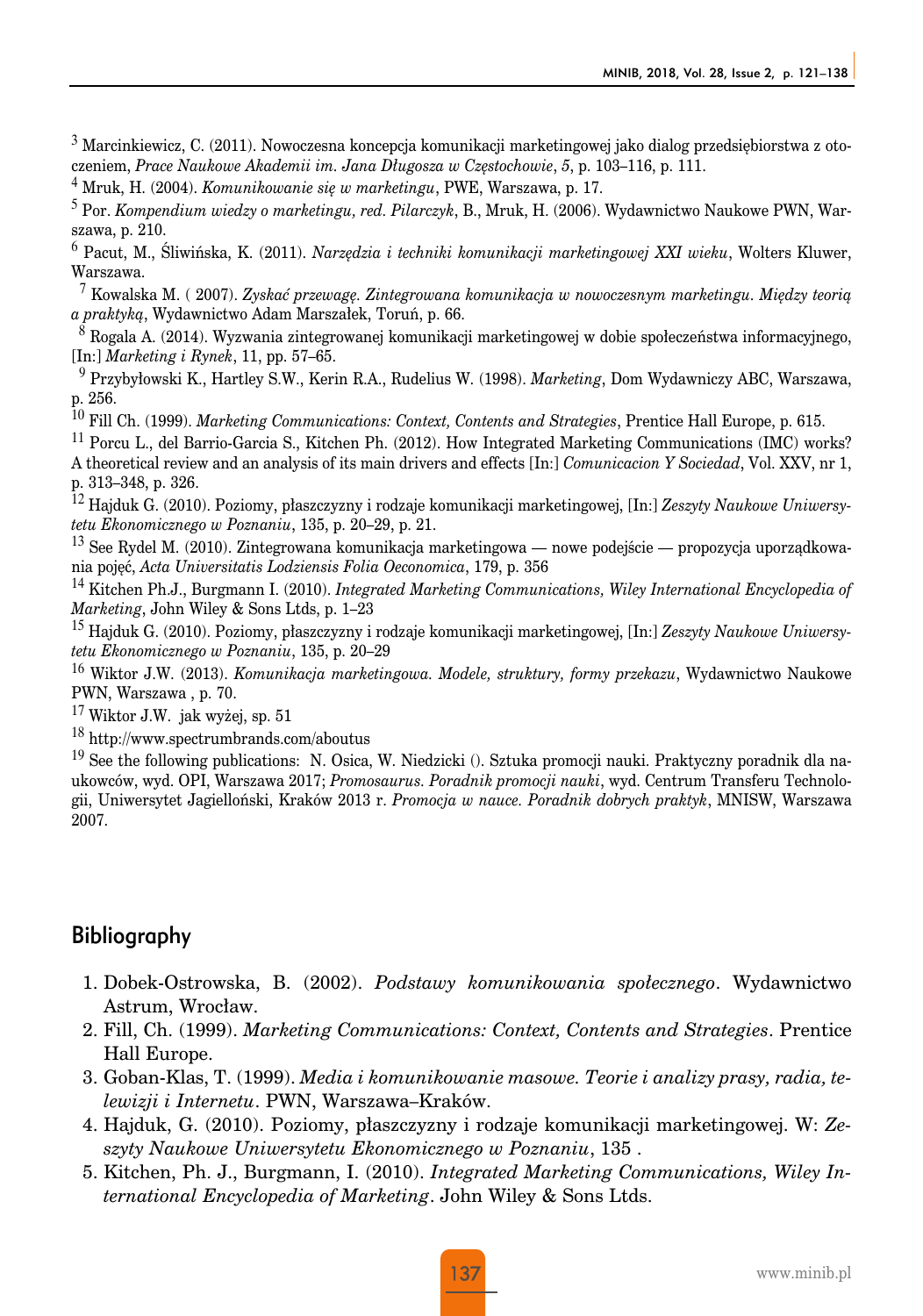$3$  Marcinkiewicz, C. (2011). Nowoczesna koncepcia komunikacji marketingowej jako dialog przedsiębiorstwa z otoczeniem, *Prace Naukowe Akademii im. Jana Długosza w Częstochowie*, *5*, p. 103–116, p. 111.

<sup>4</sup> Mruk, H. (2004). *Komunikowanie się w marketingu*, PWE, Warszawa, p. 17.

<sup>5</sup> Por. *Kompendium wiedzy o marketingu, red. Pilarczyk*, B., Mruk, H. (2006). Wydawnictwo Naukowe PWN, Warszawa, p. 210.

<sup>6</sup> Pacut, M., Śliwińska, K. (2011). *Narzędzia i techniki komunikacji marketingowej XXI wieku*, Wolters Kluwer, Warszawa.

<sup>7</sup> Kowalska M. ( 2007). *Zyskać przewagę. Zintegrowana komunikacja w nowoczesnym marketingu. Między teorią a praktyką*, Wydawnictwo Adam Marszałek, Toruń, p. 66.

<sup>8</sup> Rogala A. (2014). Wyzwania zintegrowanej komunikacji marketingowej w dobie społeczeństwa informacyjnego, [In:] *Marketing i Rynek*, 11, pp. 57–65.

<sup>9</sup> Przybyłowski K., Hartley S.W., Kerin R.A., Rudelius W. (1998). *Marketing*, Dom Wydawniczy ABC, Warszawa, p. 256.

<sup>10</sup> Fill Ch. (1999). *Marketing Communications: Context, Contents and Strategies*, Prentice Hall Europe, p. 615.

<sup>11</sup> Porcu L., del Barrio-Garcia S., Kitchen Ph. (2012). How Integrated Marketing Communications (IMC) works? A theoretical review and an analysis of its main drivers and effects [In:] *Comunicacion Y Sociedad*, Vol. XXV, nr 1, p. 313–348, p. 326.

<sup>12</sup> Hajduk G. (2010). Poziomy, płaszczyzny i rodzaje komunikacji marketingowej, [In:] *Zeszyty Naukowe Uniwersytetu Ekonomicznego w Poznaniu*, 135, p. 20–29, p. 21.

<sup>13</sup> See Rydel M. (2010). Zintegrowana komunikacja marketingowa — nowe podejście — propozycja uporządkowania pojęć, *Acta Universitatis Lodziensis Folia Oeconomica*, 179, p. 356

<sup>14</sup> Kitchen Ph.J., Burgmann I. (2010). *Integrated Marketing Communications, Wiley International Encyclopedia of Marketing*, John Wiley & Sons Ltds, p. 1–23

<sup>15</sup> Hajduk G. (2010). Poziomy, płaszczyzny i rodzaje komunikacji marketingowej, [In:] *Zeszyty Naukowe Uniwersytetu Ekonomicznego w Poznaniu*, 135, p. 20–29

<sup>16</sup> Wiktor J.W. (2013). *Komunikacja marketingowa. Modele, struktury, formy przekazu*, Wydawnictwo Naukowe PWN, Warszawa , p. 70.

 $17$  Wiktor J.W. jak wyżej, sp. 51

<sup>18</sup> http://www.spectrumbrands.com/aboutus

<sup>19</sup> See the following publications: N. Osica, W. Niedzicki  $($ ). Sztuka promocji nauki. Praktyczny poradnik dla naukowców, wyd. OPI, Warszawa 2017; *Promosaurus. Poradnik promocji nauki*, wyd. Centrum Transferu Technologii, Uniwersytet Jagielloński, Kraków 2013 r. *Promocja w nauce. Poradnik dobrych praktyk*, MNISW, Warszawa 2007.

#### **Bibliography**

- 1. Dobek-Ostrowska, B. (2002). *Podstawy komunikowania społecznego*. Wydawnictwo Astrum, Wrocław.
- 2. Fill, Ch. (1999). *Marketing Communications: Context, Contents and Strategies*. Prentice Hall Europe.
- 3. Goban-Klas, T. (1999). *Media i komunikowanie masowe. Teorie i analizy prasy, radia, telewizji i Internetu*. PWN, Warszawa–Kraków.
- 4. Hajduk, G. (2010). Poziomy, płaszczyzny i rodzaje komunikacji marketingowej. W: *Zeszyty Naukowe Uniwersytetu Ekonomicznego w Poznaniu*, 135 .
- 5. Kitchen, Ph. J., Burgmann, I. (2010). *Integrated Marketing Communications, Wiley International Encyclopedia of Marketing*. John Wiley & Sons Ltds.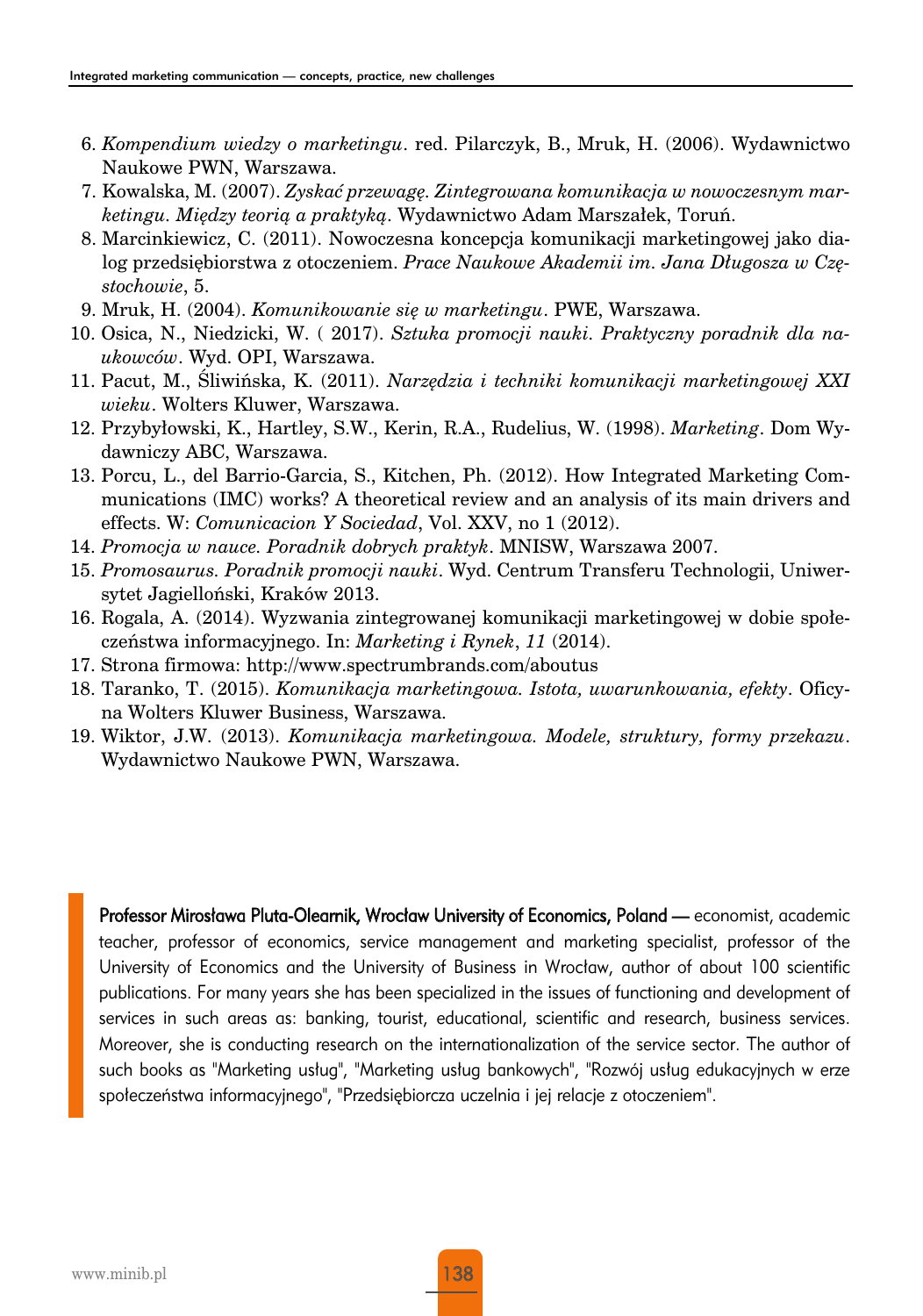- 6. *Kompendium wiedzy o marketingu*. red. Pilarczyk, B., Mruk, H. (2006). Wydawnictwo Naukowe PWN, Warszawa.
- 7. Kowalska, M. (2007). *Zyskać przewagę. Zintegrowana komunikacja w nowoczesnym marketingu. Między teorią a praktyką*. Wydawnictwo Adam Marszałek, Toruń.
- 8. Marcinkiewicz, C. (2011). Nowoczesna koncepcja komunikacji marketingowej jako dialog przedsiębiorstwa z otoczeniem. *Prace Naukowe Akademii im. Jana Długosza w Częstochowie*, 5.
- 9. Mruk, H. (2004). *Komunikowanie się w marketingu*. PWE, Warszawa.
- 10. Osica, N., Niedzicki, W. ( 2017). *Sztuka promocji nauki. Praktyczny poradnik dla naukowców*. Wyd. OPI, Warszawa.
- 11. Pacut, M., Śliwińska, K. (2011). *Narzędzia i techniki komunikacji marketingowej XXI wieku*. Wolters Kluwer, Warszawa.
- 12. Przybyłowski, K., Hartley, S.W., Kerin, R.A., Rudelius, W. (1998). *Marketing*. Dom Wydawniczy ABC, Warszawa.
- 13. Porcu, L., del Barrio-Garcia, S., Kitchen, Ph. (2012). How Integrated Marketing Communications (IMC) works? A theoretical review and an analysis of its main drivers and effects. W: *Comunicacion Y Sociedad*, Vol. XXV, no 1 (2012).
- 14. *Promocja w nauce. Poradnik dobrych praktyk*. MNISW, Warszawa 2007.
- 15. *Promosaurus. Poradnik promocji nauki*. Wyd. Centrum Transferu Technologii, Uniwersytet Jagielloński, Kraków 2013.
- 16. Rogala, A. (2014). Wyzwania zintegrowanej komunikacji marketingowej w dobie społeczeństwa informacyjnego. In: *Marketing i Rynek*, *11* (2014).
- 17. Strona firmowa: http://www.spectrumbrands.com/aboutus
- 18. Taranko, T. (2015). *Komunikacja marketingowa. Istota, uwarunkowania, efekty*. Oficyna Wolters Kluwer Business, Warszawa.
- 19. Wiktor, J.W. (2013). *Komunikacja marketingowa. Modele, struktury, formy przekazu*. Wydawnictwo Naukowe PWN, Warszawa.

Professor Mirosława Pluta-Olearnik, Wrocław University of Economics, Poland — economist, academic teacher, professor of economics, service management and marketing specialist, professor of the University of Economics and the University of Business in Wrocław, author of about 100 scientific publications. For many years she has been specialized in the issues of functioning and development of services in such areas as: banking, tourist, educational, scientific and research, business services. Moreover, she is conducting research on the internationalization of the service sector. The author of such books as "Marketing usług", "Marketing usług bankowych", "Rozwój usług edukacyjnych w erze społeczeństwa informacyjnego", "Przedsiębiorcza uczelnia i jej relacje z otoczeniem".